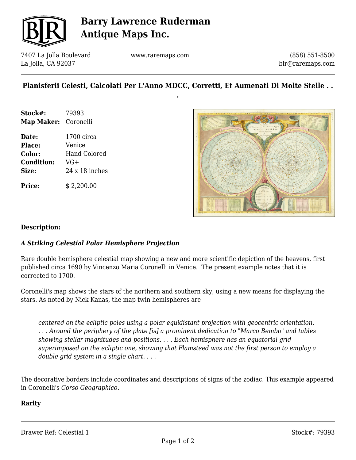

# **Barry Lawrence Ruderman Antique Maps Inc.**

7407 La Jolla Boulevard La Jolla, CA 92037

www.raremaps.com

(858) 551-8500 blr@raremaps.com

### **Planisferii Celesti, Calcolati Per L'Anno MDCC, Corretti, Et Aumenati Di Molte Stelle . . .**

- **Stock#:** 79393 **Map Maker:** Coronelli
- **Date:** 1700 circa **Place:** Venice **Color:** Hand Colored **Condition:** VG+ **Size:** 24 x 18 inches

**Price:**  $$2,200.00$ 



#### **Description:**

#### *A Striking Celestial Polar Hemisphere Projection*

Rare double hemisphere celestial map showing a new and more scientific depiction of the heavens, first published circa 1690 by Vincenzo Maria Coronelli in Venice. The present example notes that it is corrected to 1700.

Coronelli's map shows the stars of the northern and southern sky, using a new means for displaying the stars. As noted by Nick Kanas, the map twin hemispheres are

*centered on the ecliptic poles using a polar equidistant projection with geocentric orientation. . . . Around the periphery of the plate [is] a prominent dedication to "Marco Bembo" and tables showing stellar magnitudes and positions. . . . Each hemisphere has an equatorial grid superimposed on the ecliptic one, showing that Flamsteed was not the first person to employ a double grid system in a single chart. . . .*

The decorative borders include coordinates and descriptions of signs of the zodiac. This example appeared in Coronelli's *Corso Geographico.*

#### **Rarity**